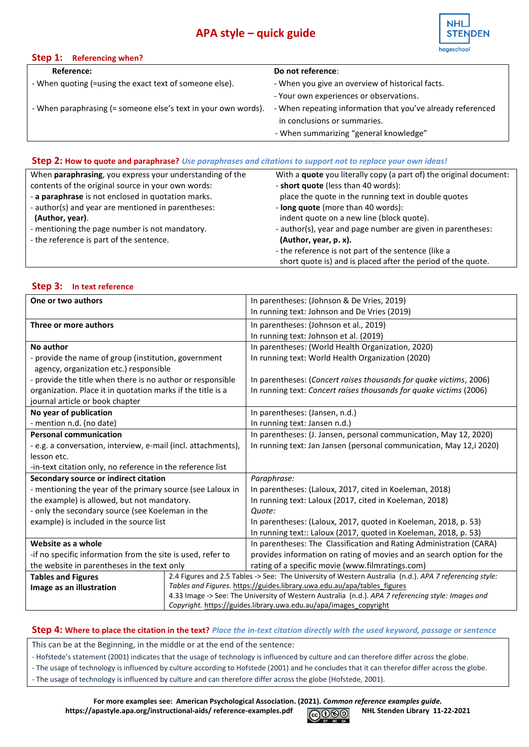# **APA style – quick guide**



| Step 1: Referencing when?                                                                                                     |                                                             |
|-------------------------------------------------------------------------------------------------------------------------------|-------------------------------------------------------------|
| Reference:                                                                                                                    | Do not reference:                                           |
| - When quoting (=using the exact text of someone else).                                                                       | - When you give an overview of historical facts.            |
|                                                                                                                               | - Your own experiences or observations.                     |
| - When paraphrasing (= someone else's text in your own words).                                                                | - When repeating information that you've already referenced |
|                                                                                                                               | in conclusions or summaries.                                |
|                                                                                                                               | - When summarizing "general knowledge"                      |
|                                                                                                                               |                                                             |
| $\mathcal{L}$ and $\mathcal{L}$ and $\mathcal{L}$ are the set of $\mathcal{L}$ and $\mathcal{L}$ are the set of $\mathcal{L}$ |                                                             |

## **Step 2: How to quote and paraphrase?** *Use paraphrases and citations to support not to replace your own ideas!*

| When <b>paraphrasing</b> , you express your understanding of the | With a quote you literally copy (a part of) the original document: |
|------------------------------------------------------------------|--------------------------------------------------------------------|
| contents of the original source in your own words:               | - short quote (less than 40 words):                                |
| - a paraphrase is not enclosed in quotation marks.               | place the quote in the running text in double quotes               |
| - author(s) and year are mentioned in parentheses:               | - long quote (more than 40 words):                                 |
| (Author, year).                                                  | indent quote on a new line (block quote).                          |
| - mentioning the page number is not mandatory.                   | - author(s), year and page number are given in parentheses:        |
| - the reference is part of the sentence.                         | (Author, year, p. x).                                              |
|                                                                  | - the reference is not part of the sentence (like a                |
|                                                                  | short quote is) and is placed after the period of the quote.       |

#### **Step 3: In text reference**

| One or two authors                                            | In parentheses: (Johnson & De Vries, 2019)                                                              |
|---------------------------------------------------------------|---------------------------------------------------------------------------------------------------------|
|                                                               | In running text: Johnson and De Vries (2019)                                                            |
|                                                               |                                                                                                         |
| Three or more authors                                         | In parentheses: (Johnson et al., 2019)                                                                  |
|                                                               | In running text: Johnson et al. (2019)                                                                  |
| No author                                                     | In parentheses: (World Health Organization, 2020)                                                       |
| - provide the name of group (institution, government          | In running text: World Health Organization (2020)                                                       |
| agency, organization etc.) responsible                        |                                                                                                         |
| - provide the title when there is no author or responsible    | In parentheses: (Concert raises thousands for quake victims, 2006)                                      |
| organization. Place it in quotation marks if the title is a   | In running text: Concert raises thousands for quake victims (2006)                                      |
| journal article or book chapter                               |                                                                                                         |
| No year of publication                                        | In parentheses: (Jansen, n.d.)                                                                          |
| - mention n.d. (no date)                                      | In running text: Jansen n.d.)                                                                           |
| <b>Personal communication</b>                                 | In parentheses: (J. Jansen, personal communication, May 12, 2020)                                       |
| - e.g. a conversation, interview, e-mail (incl. attachments), | In running text: Jan Jansen (personal communication, May 12,i 2020)                                     |
| lesson etc.                                                   |                                                                                                         |
| -in-text citation only, no reference in the reference list    |                                                                                                         |
| Secondary source or indirect citation                         | Paraphrase:                                                                                             |
| - mentioning the year of the primary source (see Laloux in    | In parentheses: (Laloux, 2017, cited in Koeleman, 2018)                                                 |
| the example) is allowed, but not mandatory.                   | In running text: Laloux (2017, cited in Koeleman, 2018)                                                 |
| - only the secondary source (see Koeleman in the              | Quote:                                                                                                  |
| example) is included in the source list                       | In parentheses: (Laloux, 2017, quoted in Koeleman, 2018, p. 53)                                         |
|                                                               | In running text:: Laloux (2017, quoted in Koeleman, 2018, p. 53)                                        |
| Website as a whole                                            | In parentheses: The Classification and Rating Administration (CARA)                                     |
| -if no specific information from the site is used, refer to   | provides information on rating of movies and an search option for the                                   |
| the website in parentheses in the text only                   | rating of a specific movie (www.filmratings.com)                                                        |
| <b>Tables and Figures</b>                                     | 2.4 Figures and 2.5 Tables -> See: The University of Western Australia (n.d.). APA 7 referencing style: |
| Image as an illustration                                      | Tables and Figures. https://guides.library.uwa.edu.au/apa/tables_figures                                |
|                                                               | 4.33 Image -> See: The University of Western Australia (n.d.). APA 7 referencing style: Images and      |
|                                                               | Copyright. https://guides.library.uwa.edu.au/apa/images_copyright                                       |

## **Step 4: Where to place the citation in the text?** *Place the in-text citation directly with the used keyword, passage or sentence*

This can be at the Beginning, in the middle or at the end of the sentence:

- Hofstede's statement (2001) indicates that the usage of technology is influenced by culture and can therefore differ across the globe.
- The usage of technology is influenced by culture according to Hofstede (2001) and he concludes that it can therefor differ across the globe.
- The usage of technology is influenced by culture and can therefore differ across the globe (Hofstede, 2001).

**For more examples see: American Psychological Association. (2021).** *Common reference examples guide.*  https://apastyle.apa.org/instructional-aids/ reference-examples.pdf **COOO** NHL Stenden Library 11-22-2021